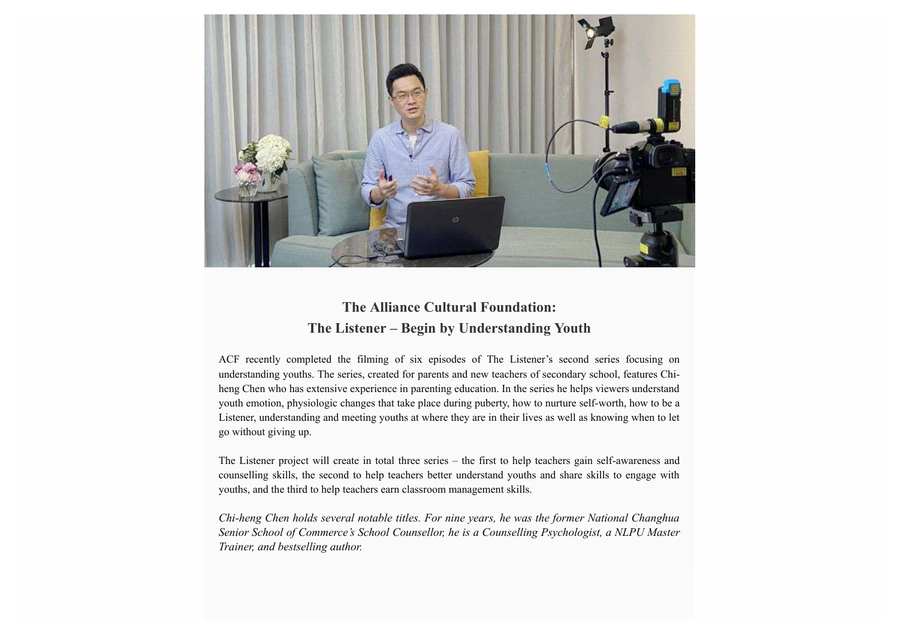

## **The Alliance Cultural Foundation: The Listener – Begin by Understanding Youth**

ACF recently completed the filming of six episodes of The Listener's second series focusing on understanding youths. The series, created for parents and new teachers of secondary school, features Chiheng Chen who has extensive experience in parenting education. In the series he helps viewers understand youth emotion, physiologic changes that take place during puberty, how to nurture self-worth, how to be a Listener, understanding and meeting youths at where they are in their lives as well as knowing when to let go without giving up.

The Listener project will create in total three series – the first to help teachers gain self-awareness and counselling skills, the second to help teachers better understand youths and share skills to engage with youths, and the third to help teachers earn classroom management skills.

*Chi-heng Chen holds several notable titles. For nine years, he was the former National Changhua Senior School of Commerce's School Counsellor, he is a Counselling Psychologist, a NLPU Master Trainer, and bestselling author.*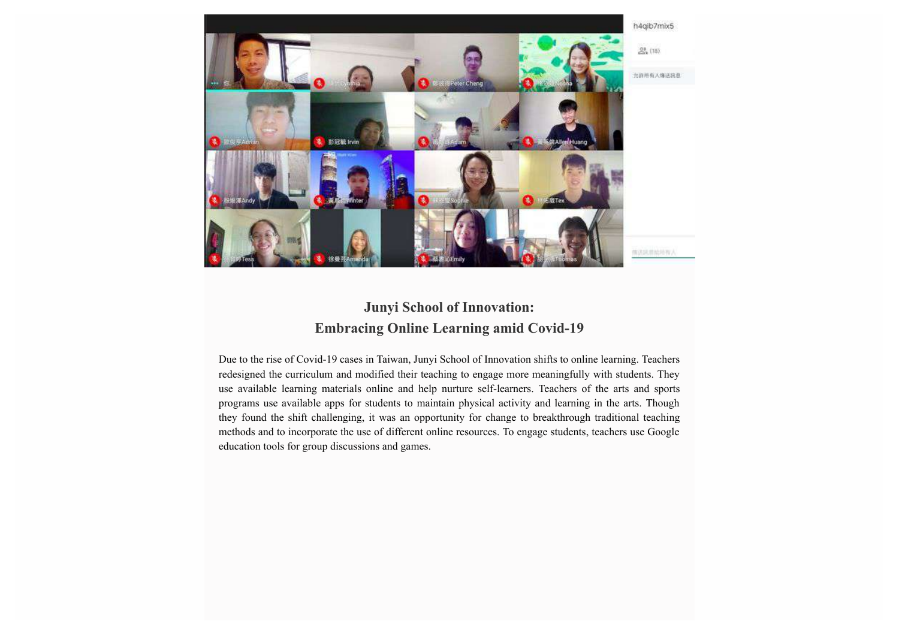

## **Junyi School of Innovation: Embracing Online Learning amid Covid-19**

Due to the rise of Covid-19 cases in Taiwan, Junyi School of Innovation shifts to online learning. Teachers redesigned the curriculum and modified their teaching to engage more meaningfully with students. They use available learning materials online and help nurture self-learners. Teachers of the arts and sports programs use available apps for students to maintain physical activity and learning in the arts. Though they found the shift challenging, it was an opportunity for change to breakthrough traditional teaching methods and to incorporate the use of different online resources. To engage students, teachers use Google education tools for group discussions and games.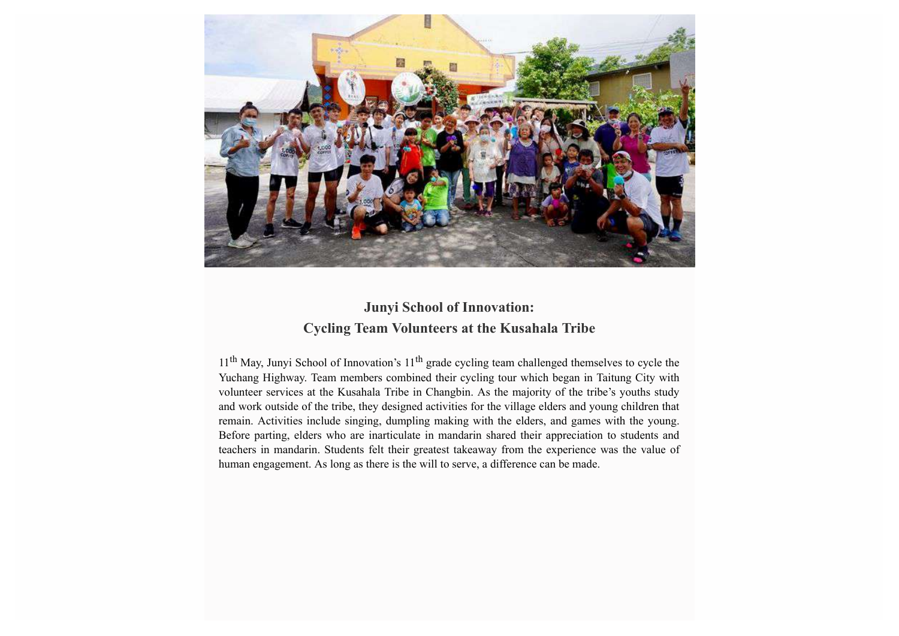

## **Junyi School of Innovation: Cycling Team Volunteers at the Kusahala Tribe**

11<sup>th</sup> May, Junyi School of Innovation's 11<sup>th</sup> grade cycling team challenged themselves to cycle the Yuchang Highway. Team members combined their cycling tour which began in Taitung City with volunteer services at the Kusahala Tribe in Changbin. As the majority of the tribe's youths study and work outside of the tribe, they designed activities for the village elders and young children that remain. Activities include singing, dumpling making with the elders, and games with the young. Before parting, elders who are inarticulate in mandarin shared their appreciation to students and teachers in mandarin. Students felt their greatest takeaway from the experience was the value of human engagement. As long as there is the will to serve, a difference can be made.